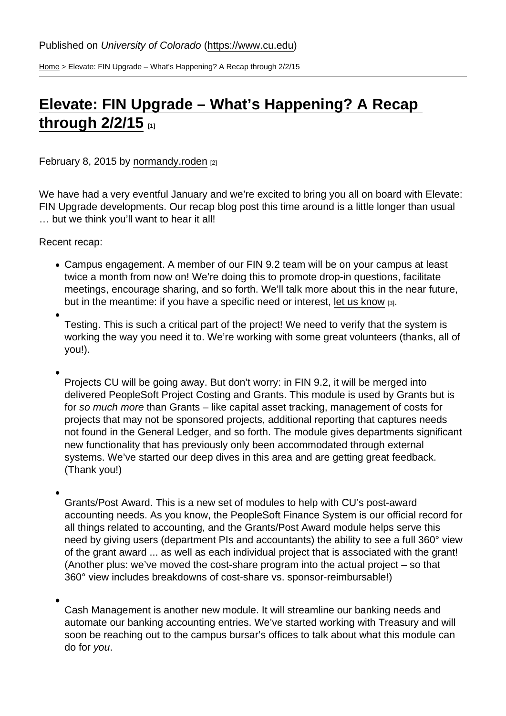[Home](https://www.cu.edu/) > Elevate: FIN Upgrade – What's Happening? A Recap through 2/2/15

## [Elevate: FIN Upgrade – What's Happening? A Recap](https://www.cu.edu/blog/ouc-news/elevate-fin-upgrade-–-what’s-happening-recap-through-2215)  through  $2/2/15$  [1]

February 8, 2015 by [normandy.roden](https://www.cu.edu/blog/ouc-news/author/752) [2]

We have had a very eventful January and we're excited to bring you all on board with Elevate: FIN Upgrade developments. Our recap blog post this time around is a little longer than usual … but we think you'll want to hear it all!

Recent recap:

- Campus engagement. A member of our FIN 9.2 team will be on your campus at least twice a month from now on! We're doing this to promote drop-in questions, facilitate meetings, encourage sharing, and so forth. We'll talk more about this in the near future, but in the meantime: if you have a specific need or interest, [let us know](mailto:Vickie.Martin@cu.edu) [3].
- Testing. This is such a critical part of the project! We need to verify that the system is working the way you need it to. We're working with some great volunteers (thanks, all of you!).
- Projects CU will be going away. But don't worry: in FIN 9.2, it will be merged into delivered PeopleSoft Project Costing and Grants. This module is used by Grants but is for so much more than Grants – like capital asset tracking, management of costs for projects that may not be sponsored projects, additional reporting that captures needs not found in the General Ledger, and so forth. The module gives departments significant new functionality that has previously only been accommodated through external systems. We've started our deep dives in this area and are getting great feedback. (Thank you!)
- Grants/Post Award. This is a new set of modules to help with CU's post-award accounting needs. As you know, the PeopleSoft Finance System is our official record for all things related to accounting, and the Grants/Post Award module helps serve this need by giving users (department PIs and accountants) the ability to see a full 360° view of the grant award ... as well as each individual project that is associated with the grant! (Another plus: we've moved the cost-share program into the actual project  $-$  so that 360° view includes breakdowns of cost-share vs. sponsor-reimbursable!)

Cash Management is another new module. It will streamline our banking needs and automate our banking accounting entries. We've started working with Treasury and will soon be reaching out to the campus bursar's offices to talk about what this module can do for you.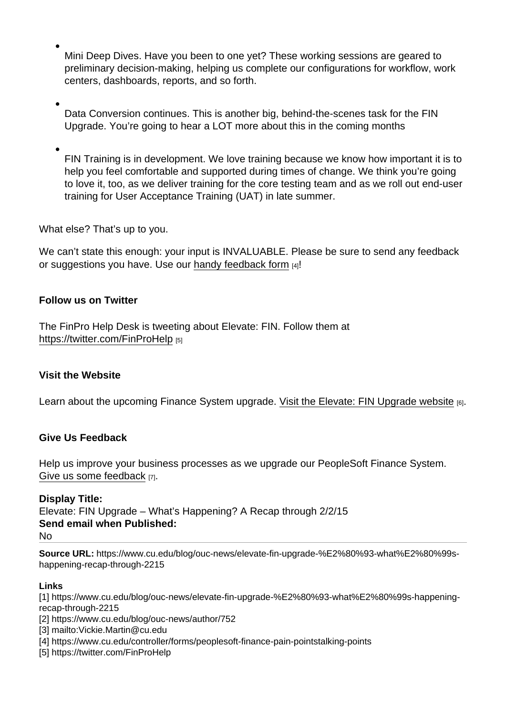Mini Deep Dives. Have you been to one yet? These working sessions are geared to preliminary decision-making, helping us complete our configurations for workflow, work centers, dashboards, reports, and so forth.

Data Conversion continues. This is another big, behind-the-scenes task for the FIN Upgrade. You're going to hear a LOT more about this in the coming months

FIN Training is in development. We love training because we know how important it is to help you feel comfortable and supported during times of change. We think you're going to love it, too, as we deliver training for the core testing team and as we roll out end-user training for User Acceptance Training (UAT) in late summer.

What else? That's up to you.

We can't state this enough: your input is INVALUABLE. Please be sure to send any feedback or suggestions you have. Use our [handy feedback form](https://www.cu.edu/controller/forms/peoplesoft-finance-pain-pointstalking-points) [4]!

Follow us on Twitter

The FinPro Help Desk is tweeting about Elevate: FIN. Follow them at <https://twitter.com/FinProHelp> [5]

Visit the Website

Learn about the upcoming Finance System upgrade. [Visit the Elevate: FIN Upgrade website](https://www.cu.edu/controller/elevate-fin-upgrade) [6].

Give Us Feedback

Help us improve your business processes as we upgrade our PeopleSoft Finance System. [Give us some feedback](https://www.cu.edu/controller/forms/elevate-fin-questions-feedback) [7].

Display Title:

Elevate: FIN Upgrade – What's Happening? A Recap through 2/2/15 Send email when Published: No

Source URL: https://www.cu.edu/blog/ouc-news/elevate-fin-upgrade-%E2%80%93-what%E2%80%99shappening-recap-through-2215

Links

[1] https://www.cu.edu/blog/ouc-news/elevate-fin-upgrade-%E2%80%93-what%E2%80%99s-happeningrecap-through-2215

[2] https://www.cu.edu/blog/ouc-news/author/752

[3] mailto:Vickie.Martin@cu.edu

[4] https://www.cu.edu/controller/forms/peoplesoft-finance-pain-pointstalking-points

[5] https://twitter.com/FinProHelp